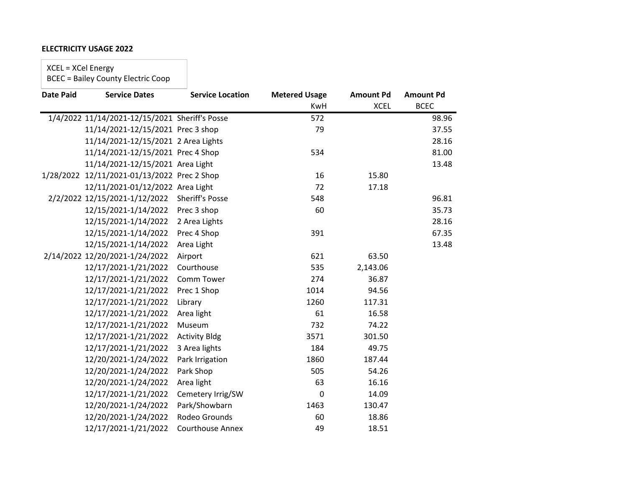## **ELECTRICITY USAGE 2022**

XCEL = XCel Energy

BCEC = Bailey County Electric Coop

| <b>Date Paid</b> | <b>Service Dates</b>                           | <b>Service Location</b> | <b>Metered Usage</b> | <b>Amount Pd</b> | <b>Amount Pd</b> |
|------------------|------------------------------------------------|-------------------------|----------------------|------------------|------------------|
|                  |                                                |                         | KwH                  | <b>XCEL</b>      | <b>BCEC</b>      |
|                  | 1/4/2022 11/14/2021-12/15/2021 Sheriff's Posse |                         | 572                  |                  | 98.96            |
|                  | 11/14/2021-12/15/2021 Prec 3 shop              |                         | 79                   |                  | 37.55            |
|                  | 11/14/2021-12/15/2021 2 Area Lights            |                         |                      |                  | 28.16            |
|                  | 11/14/2021-12/15/2021 Prec 4 Shop              |                         | 534                  |                  | 81.00            |
|                  | 11/14/2021-12/15/2021 Area Light               |                         |                      |                  | 13.48            |
|                  | 1/28/2022 12/11/2021-01/13/2022 Prec 2 Shop    |                         | 16                   | 15.80            |                  |
|                  | 12/11/2021-01/12/2022 Area Light               |                         | 72                   | 17.18            |                  |
|                  | 2/2/2022 12/15/2021-1/12/2022                  | <b>Sheriff's Posse</b>  | 548                  |                  | 96.81            |
|                  | 12/15/2021-1/14/2022                           | Prec 3 shop             | 60                   |                  | 35.73            |
|                  | 12/15/2021-1/14/2022                           | 2 Area Lights           |                      |                  | 28.16            |
|                  | 12/15/2021-1/14/2022                           | Prec 4 Shop             | 391                  |                  | 67.35            |
|                  | 12/15/2021-1/14/2022                           | Area Light              |                      |                  | 13.48            |
|                  | 2/14/2022 12/20/2021-1/24/2022                 | Airport                 | 621                  | 63.50            |                  |
|                  | 12/17/2021-1/21/2022                           | Courthouse              | 535                  | 2,143.06         |                  |
|                  | 12/17/2021-1/21/2022                           | Comm Tower              | 274                  | 36.87            |                  |
|                  | 12/17/2021-1/21/2022                           | Prec 1 Shop             | 1014                 | 94.56            |                  |
|                  | 12/17/2021-1/21/2022                           | Library                 | 1260                 | 117.31           |                  |
|                  | 12/17/2021-1/21/2022                           | Area light              | 61                   | 16.58            |                  |
|                  | 12/17/2021-1/21/2022                           | Museum                  | 732                  | 74.22            |                  |
|                  | 12/17/2021-1/21/2022                           | <b>Activity Bldg</b>    | 3571                 | 301.50           |                  |
|                  | 12/17/2021-1/21/2022                           | 3 Area lights           | 184                  | 49.75            |                  |
|                  | 12/20/2021-1/24/2022                           | Park Irrigation         | 1860                 | 187.44           |                  |
|                  | 12/20/2021-1/24/2022                           | Park Shop               | 505                  | 54.26            |                  |
|                  | 12/20/2021-1/24/2022                           | Area light              | 63                   | 16.16            |                  |
|                  | 12/17/2021-1/21/2022                           | Cemetery Irrig/SW       | $\mathbf 0$          | 14.09            |                  |
|                  | 12/20/2021-1/24/2022                           | Park/Showbarn           | 1463                 | 130.47           |                  |
|                  | 12/20/2021-1/24/2022                           | Rodeo Grounds           | 60                   | 18.86            |                  |
|                  | 12/17/2021-1/21/2022                           | <b>Courthouse Annex</b> | 49                   | 18.51            |                  |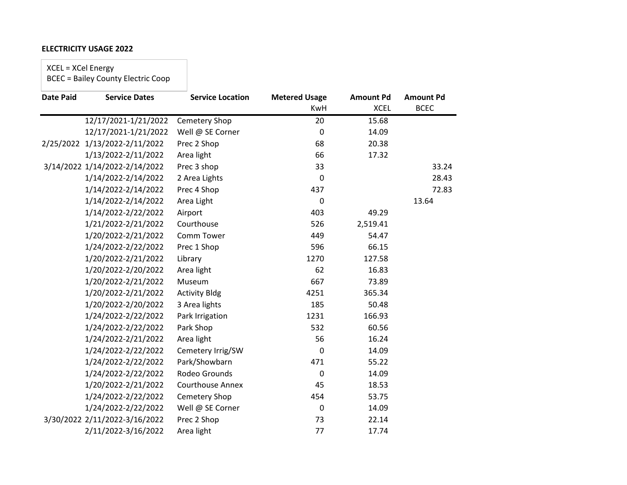### **ELECTRICITY USAGE 2022**

XCEL = XCel Energy

BCEC = Bailey County Electric Coop

| <b>Date Paid</b> | <b>Service Dates</b>          | <b>Service Location</b> | <b>Metered Usage</b> | <b>Amount Pd</b> | <b>Amount Pd</b> |
|------------------|-------------------------------|-------------------------|----------------------|------------------|------------------|
|                  |                               |                         | <b>KwH</b>           | <b>XCEL</b>      | <b>BCEC</b>      |
|                  | 12/17/2021-1/21/2022          | Cemetery Shop           | 20                   | 15.68            |                  |
|                  | 12/17/2021-1/21/2022          | Well @ SE Corner        | $\mathbf 0$          | 14.09            |                  |
| 2/25/2022        | 1/13/2022-2/11/2022           | Prec 2 Shop             | 68                   | 20.38            |                  |
|                  | 1/13/2022-2/11/2022           | Area light              | 66                   | 17.32            |                  |
|                  | 3/14/2022 1/14/2022-2/14/2022 | Prec 3 shop             | 33                   |                  | 33.24            |
|                  | 1/14/2022-2/14/2022           | 2 Area Lights           | $\mathbf 0$          |                  | 28.43            |
|                  | 1/14/2022-2/14/2022           | Prec 4 Shop             | 437                  |                  | 72.83            |
|                  | 1/14/2022-2/14/2022           | Area Light              | $\mathbf 0$          |                  | 13.64            |
|                  | 1/14/2022-2/22/2022           | Airport                 | 403                  | 49.29            |                  |
|                  | 1/21/2022-2/21/2022           | Courthouse              | 526                  | 2,519.41         |                  |
|                  | 1/20/2022-2/21/2022           | Comm Tower              | 449                  | 54.47            |                  |
|                  | 1/24/2022-2/22/2022           | Prec 1 Shop             | 596                  | 66.15            |                  |
|                  | 1/20/2022-2/21/2022           | Library                 | 1270                 | 127.58           |                  |
|                  | 1/20/2022-2/20/2022           | Area light              | 62                   | 16.83            |                  |
|                  | 1/20/2022-2/21/2022           | Museum                  | 667                  | 73.89            |                  |
|                  | 1/20/2022-2/21/2022           | <b>Activity Bldg</b>    | 4251                 | 365.34           |                  |
|                  | 1/20/2022-2/20/2022           | 3 Area lights           | 185                  | 50.48            |                  |
|                  | 1/24/2022-2/22/2022           | Park Irrigation         | 1231                 | 166.93           |                  |
|                  | 1/24/2022-2/22/2022           | Park Shop               | 532                  | 60.56            |                  |
|                  | 1/24/2022-2/21/2022           | Area light              | 56                   | 16.24            |                  |
|                  | 1/24/2022-2/22/2022           | Cemetery Irrig/SW       | $\pmb{0}$            | 14.09            |                  |
|                  | 1/24/2022-2/22/2022           | Park/Showbarn           | 471                  | 55.22            |                  |
|                  | 1/24/2022-2/22/2022           | Rodeo Grounds           | 0                    | 14.09            |                  |
|                  | 1/20/2022-2/21/2022           | <b>Courthouse Annex</b> | 45                   | 18.53            |                  |
|                  | 1/24/2022-2/22/2022           | Cemetery Shop           | 454                  | 53.75            |                  |
|                  | 1/24/2022-2/22/2022           | Well @ SE Corner        | $\pmb{0}$            | 14.09            |                  |
|                  | 3/30/2022 2/11/2022-3/16/2022 | Prec 2 Shop             | 73                   | 22.14            |                  |
|                  | 2/11/2022-3/16/2022           | Area light              | 77                   | 17.74            |                  |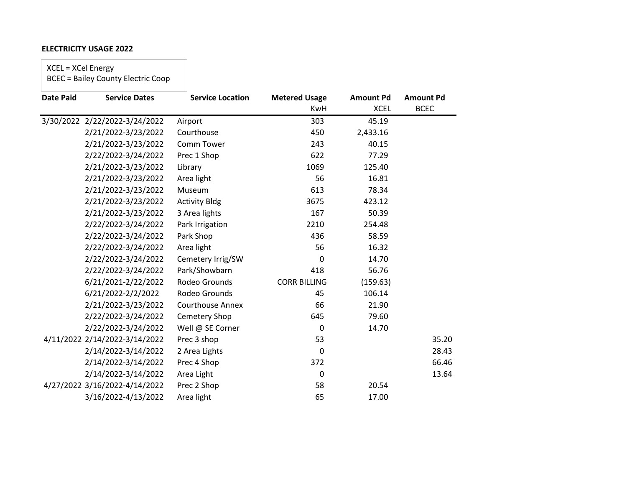### **ELECTRICITY USAGE 2022**

XCEL = XCel Energy

BCEC = Bailey County Electric Coop

| <b>Date Paid</b> | <b>Service Dates</b>          | <b>Service Location</b> | <b>Metered Usage</b> | <b>Amount Pd</b> | <b>Amount Pd</b> |
|------------------|-------------------------------|-------------------------|----------------------|------------------|------------------|
|                  |                               |                         | <b>KwH</b>           | <b>XCEL</b>      | <b>BCEC</b>      |
|                  | 3/30/2022 2/22/2022-3/24/2022 | Airport                 | 303                  | 45.19            |                  |
|                  | 2/21/2022-3/23/2022           | Courthouse              | 450                  | 2,433.16         |                  |
|                  | 2/21/2022-3/23/2022           | Comm Tower              | 243                  | 40.15            |                  |
|                  | 2/22/2022-3/24/2022           | Prec 1 Shop             | 622                  | 77.29            |                  |
|                  | 2/21/2022-3/23/2022           | Library                 | 1069                 | 125.40           |                  |
|                  | 2/21/2022-3/23/2022           | Area light              | 56                   | 16.81            |                  |
|                  | 2/21/2022-3/23/2022           | Museum                  | 613                  | 78.34            |                  |
|                  | 2/21/2022-3/23/2022           | <b>Activity Bldg</b>    | 3675                 | 423.12           |                  |
|                  | 2/21/2022-3/23/2022           | 3 Area lights           | 167                  | 50.39            |                  |
|                  | 2/22/2022-3/24/2022           | Park Irrigation         | 2210                 | 254.48           |                  |
|                  | 2/22/2022-3/24/2022           | Park Shop               | 436                  | 58.59            |                  |
|                  | 2/22/2022-3/24/2022           | Area light              | 56                   | 16.32            |                  |
|                  | 2/22/2022-3/24/2022           | Cemetery Irrig/SW       | 0                    | 14.70            |                  |
|                  | 2/22/2022-3/24/2022           | Park/Showbarn           | 418                  | 56.76            |                  |
|                  | 6/21/2021-2/22/2022           | Rodeo Grounds           | <b>CORR BILLING</b>  | (159.63)         |                  |
|                  | 6/21/2022-2/2/2022            | Rodeo Grounds           | 45                   | 106.14           |                  |
|                  | 2/21/2022-3/23/2022           | <b>Courthouse Annex</b> | 66                   | 21.90            |                  |
|                  | 2/22/2022-3/24/2022           | Cemetery Shop           | 645                  | 79.60            |                  |
|                  | 2/22/2022-3/24/2022           | Well @ SE Corner        | $\mathbf 0$          | 14.70            |                  |
|                  | 4/11/2022 2/14/2022-3/14/2022 | Prec 3 shop             | 53                   |                  | 35.20            |
|                  | 2/14/2022-3/14/2022           | 2 Area Lights           | $\mathbf 0$          |                  | 28.43            |
|                  | 2/14/2022-3/14/2022           | Prec 4 Shop             | 372                  |                  | 66.46            |
|                  | 2/14/2022-3/14/2022           | Area Light              | $\mathbf 0$          |                  | 13.64            |
|                  | 4/27/2022 3/16/2022-4/14/2022 | Prec 2 Shop             | 58                   | 20.54            |                  |
|                  | 3/16/2022-4/13/2022           | Area light              | 65                   | 17.00            |                  |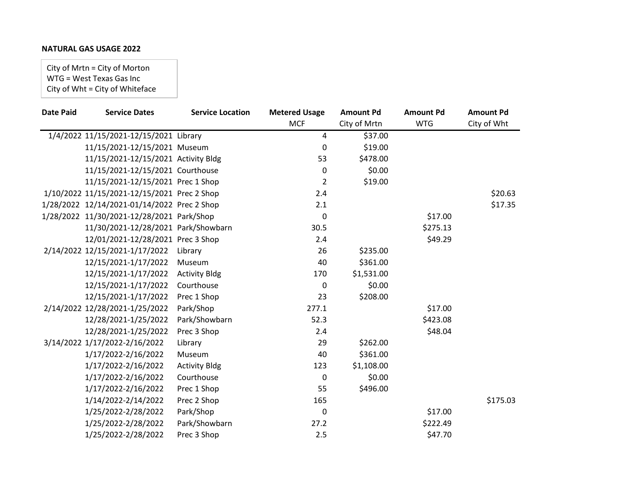# **NATURAL GAS USAGE 2022**

City of Mrtn = City of Morton WTG = West Texas Gas Inc City of Wht = City of Whiteface

| <b>Date Paid</b> | <b>Service Dates</b>                        | <b>Service Location</b> | <b>Metered Usage</b> | <b>Amount Pd</b>   | <b>Amount Pd</b> | <b>Amount Pd</b> |
|------------------|---------------------------------------------|-------------------------|----------------------|--------------------|------------------|------------------|
|                  |                                             |                         | <b>MCF</b>           | City of Mrtn       | <b>WTG</b>       | City of Wht      |
|                  | 1/4/2022 11/15/2021-12/15/2021 Library      |                         | 4                    | $\frac{1}{537.00}$ |                  |                  |
|                  | 11/15/2021-12/15/2021 Museum                |                         | 0                    | \$19.00            |                  |                  |
|                  | 11/15/2021-12/15/2021 Activity Bldg         |                         | 53                   | \$478.00           |                  |                  |
|                  | 11/15/2021-12/15/2021 Courthouse            |                         | 0                    | \$0.00             |                  |                  |
|                  | 11/15/2021-12/15/2021 Prec 1 Shop           |                         | $\overline{2}$       | \$19.00            |                  |                  |
|                  | 1/10/2022 11/15/2021-12/15/2021 Prec 2 Shop |                         | 2.4                  |                    |                  | \$20.63          |
|                  | 1/28/2022 12/14/2021-01/14/2022 Prec 2 Shop |                         | 2.1                  |                    |                  | \$17.35          |
|                  | 1/28/2022 11/30/2021-12/28/2021 Park/Shop   |                         | 0                    |                    | \$17.00          |                  |
|                  | 11/30/2021-12/28/2021 Park/Showbarn         |                         | 30.5                 |                    | \$275.13         |                  |
|                  | 12/01/2021-12/28/2021 Prec 3 Shop           |                         | 2.4                  |                    | \$49.29          |                  |
|                  | 2/14/2022 12/15/2021-1/17/2022              | Library                 | 26                   | \$235.00           |                  |                  |
|                  | 12/15/2021-1/17/2022                        | Museum                  | 40                   | \$361.00           |                  |                  |
|                  | 12/15/2021-1/17/2022                        | <b>Activity Bldg</b>    | 170                  | \$1,531.00         |                  |                  |
|                  | 12/15/2021-1/17/2022                        | Courthouse              | $\pmb{0}$            | \$0.00             |                  |                  |
|                  | 12/15/2021-1/17/2022                        | Prec 1 Shop             | 23                   | \$208.00           |                  |                  |
|                  | 2/14/2022 12/28/2021-1/25/2022              | Park/Shop               | 277.1                |                    | \$17.00          |                  |
|                  | 12/28/2021-1/25/2022                        | Park/Showbarn           | 52.3                 |                    | \$423.08         |                  |
|                  | 12/28/2021-1/25/2022                        | Prec 3 Shop             | 2.4                  |                    | \$48.04          |                  |
|                  | 3/14/2022 1/17/2022-2/16/2022               | Library                 | 29                   | \$262.00           |                  |                  |
|                  | 1/17/2022-2/16/2022                         | Museum                  | 40                   | \$361.00           |                  |                  |
|                  | 1/17/2022-2/16/2022                         | <b>Activity Bldg</b>    | 123                  | \$1,108.00         |                  |                  |
|                  | 1/17/2022-2/16/2022                         | Courthouse              | $\pmb{0}$            | \$0.00             |                  |                  |
|                  | 1/17/2022-2/16/2022                         | Prec 1 Shop             | 55                   | \$496.00           |                  |                  |
|                  | 1/14/2022-2/14/2022                         | Prec 2 Shop             | 165                  |                    |                  | \$175.03         |
|                  | 1/25/2022-2/28/2022                         | Park/Shop               | $\pmb{0}$            |                    | \$17.00          |                  |
|                  | 1/25/2022-2/28/2022                         | Park/Showbarn           | 27.2                 |                    | \$222.49         |                  |
|                  | 1/25/2022-2/28/2022                         | Prec 3 Shop             | 2.5                  |                    | \$47.70          |                  |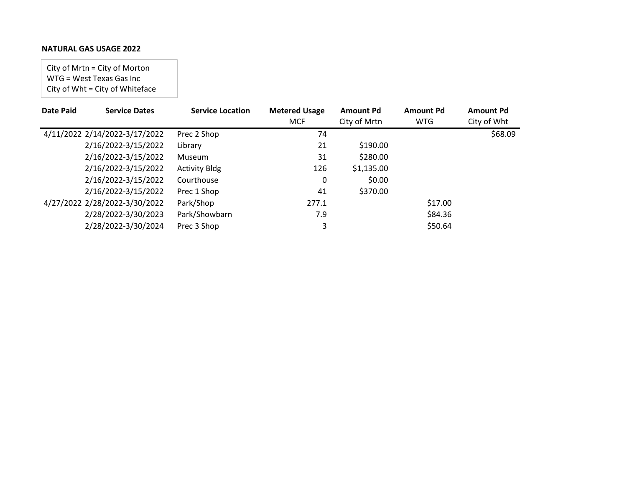# **NATURAL GAS USAGE 2022**

City of Mrtn = City of Morton WTG = West Texas Gas Inc City of Wht = City of Whiteface

| <b>Date Paid</b> | <b>Service Dates</b>          | <b>Service Location</b> | <b>Metered Usage</b> | <b>Amount Pd</b> | <b>Amount Pd</b> | <b>Amount Pd</b> |
|------------------|-------------------------------|-------------------------|----------------------|------------------|------------------|------------------|
|                  |                               |                         | <b>MCF</b>           | City of Mrtn     | <b>WTG</b>       | City of Wht      |
|                  | 4/11/2022 2/14/2022-3/17/2022 | Prec 2 Shop             | 74                   |                  |                  | \$68.09          |
|                  | 2/16/2022-3/15/2022           | Library                 | 21                   | \$190.00         |                  |                  |
|                  | 2/16/2022-3/15/2022           | <b>Museum</b>           | 31                   | \$280.00         |                  |                  |
|                  | 2/16/2022-3/15/2022           | <b>Activity Bldg</b>    | 126                  | \$1,135.00       |                  |                  |
|                  | 2/16/2022-3/15/2022           | Courthouse              | 0                    | \$0.00           |                  |                  |
|                  | 2/16/2022-3/15/2022           | Prec 1 Shop             | 41                   | \$370.00         |                  |                  |
|                  | 4/27/2022 2/28/2022-3/30/2022 | Park/Shop               | 277.1                |                  | \$17.00          |                  |
|                  | 2/28/2022-3/30/2023           | Park/Showbarn           | 7.9                  |                  | \$84.36          |                  |
|                  | 2/28/2022-3/30/2024           | Prec 3 Shop             | 3                    |                  | \$50.64          |                  |